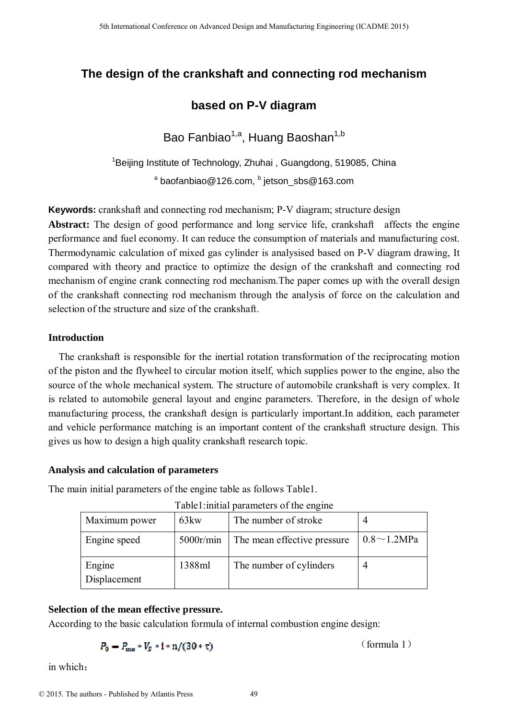# **The design of the crankshaft and connecting rod mechanism**

# **based on P-V diagram**

Bao Fanbiao<sup>1,a</sup>, Huang Baoshan<sup>1,b</sup>

<sup>1</sup>Beijing Institute of Technology, Zhuhai, Guangdong, 519085, China <sup>a</sup> baofanbiao@126.com, <sup>b</sup> jetson\_sbs@163.com

**Keywords:** crankshaft and connecting rod mechanism; P-V diagram; structure design

**Abstract:** The design of good performance and long service life, crankshaft affects the engine performance and fuel economy. It can reduce the consumption of materials and manufacturing cost. Thermodynamic calculation of mixed gas cylinder is analysised based on P-V diagram drawing, It compared with theory and practice to optimize the design of the crankshaft and connecting rod mechanism of engine crank connecting rod mechanism.The paper comes up with the overall design of the crankshaft connecting rod mechanism through the analysis of force on the calculation and selection of the structure and size of the crankshaft. <sup>516</sup> the terminant Conference on Advanced Design and Manufacturing Engineering (CADME 2015)<br> **Source on P-V diagram**<br> **Examplement Conference on Advanced Design and Accordance on Advanced Design and Accordance of Bernard** 

# **Introduction**

The crankshaft is responsible for the inertial rotation transformation of the reciprocating motion of the piston and the flywheel to circular motion itself, which supplies power to the engine, also the source of the whole mechanical system. The structure of automobile crankshaft is very complex. It is related to automobile general layout and engine parameters. Therefore, in the design of whole manufacturing process, the crankshaft design is particularly important.In addition, each parameter and vehicle performance matching is an important content of the crankshaft structure design. This gives us how to design a high quality crankshaft research topic.

# **Analysis and calculation of parameters**

The main initial parameters of the engine table as follows Table1.

| Table1: initial parameters of the engine |  |  |
|------------------------------------------|--|--|
|                                          |  |  |
|                                          |  |  |

| Maximum power          | 63 <sub>kw</sub> | The number of stroke        |                    |
|------------------------|------------------|-----------------------------|--------------------|
| Engine speed           | 5000r/min        | The mean effective pressure | $0.8 \sim 1.2 MPa$ |
| Engine<br>Displacement | 1388ml           | The number of cylinders     |                    |

# **Selection of the mean effective pressure.**

According to the basic calculation formula of internal combustion engine design:

$$
P_0 = P_{\text{me}} * V_s * \mathbf{i} * \mathbf{n} / (30 * \tau)
$$

in which:

(formula 1)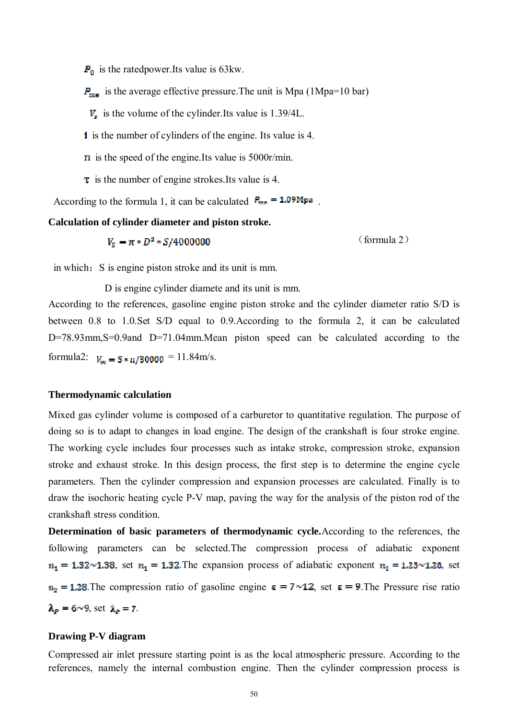$P_0$  is the ratedpower.Its value is 63kw.

 $P_{\text{me}}$  is the average effective pressure. The unit is Mpa (1Mpa=10 bar)

 $V<sub>s</sub>$  is the volume of the cylinder.Its value is 1.39/4L.

i is the number of cylinders of the engine. Its value is 4.

- $\bf{n}$  is the speed of the engine.Its value is 5000r/min.
- $\tau$  is the number of engine strokes. Its value is 4.

According to the formula 1, it can be calculated  $P_{\text{me}} = 1.09 \text{Mpc}$ .

**Calculation of cylinder diameter and piston stroke.** 

 $V_{\rm s} = \pi * D^2 * S/40000000$  (formula 2)

in which: S is engine piston stroke and its unit is mm.

D is engine cylinder diamete and its unit is mm.

According to the references, gasoline engine piston stroke and the cylinder diameter ratio S/D is between 0.8 to 1.0.Set S/D equal to 0.9.According to the formula 2, it can be calculated D=78.93mm, S=0.9and D=71.04mm. Mean piston speed can be calculated according to the formula2:  $V_m = S * n/30000 = 11.84$ m/s.

### **Thermodynamic calculation**

Mixed gas cylinder volume is composed of a carburetor to quantitative regulation. The purpose of doing so is to adapt to changes in load engine. The design of the crankshaft is four stroke engine. The working cycle includes four processes such as intake stroke, compression stroke, expansion stroke and exhaust stroke. In this design process, the first step is to determine the engine cycle parameters. Then the cylinder compression and expansion processes are calculated. Finally is to draw the isochoric heating cycle P-V map, paving the way for the analysis of the piston rod of the crankshaft stress condition.

**Determination of basic parameters of thermodynamic cycle.**According to the references, the following parameters can be selected.The compression process of adiabatic exponent  $n_1 = 1.32 \times 1.38$ , set  $n_1 = 1.32$ . The expansion process of adiabatic exponent  $n_2 = 1.23 \times 1.28$ , set  $n_2 = 1.28$ . The compression ratio of gasoline engine  $\varepsilon = 7 \sim 12$ , set  $\varepsilon = 9$ . The Pressure rise ratio  $\lambda_p = 6 \sim 9$ , set  $\lambda_p = 7$ .

#### **Drawing P-V diagram**

Compressed air inlet pressure starting point is as the local atmospheric pressure. According to the references, namely the internal combustion engine. Then the cylinder compression process is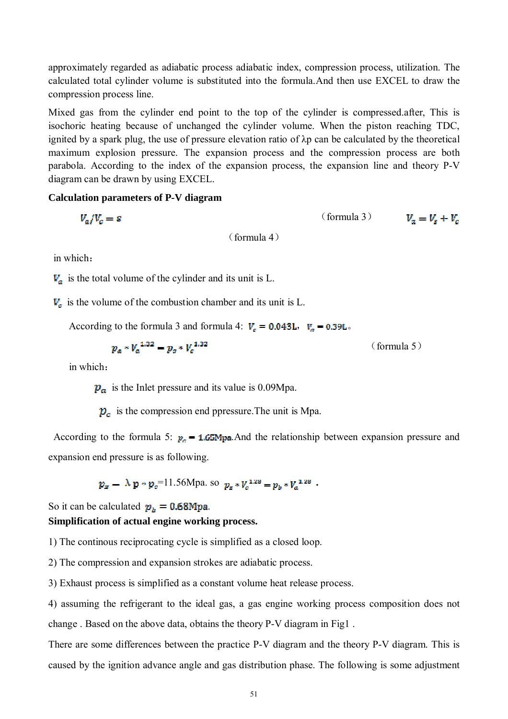approximately regarded as adiabatic process adiabatic index, compression process, utilization. The calculated total cylinder volume is substituted into the formula.And then use EXCEL to draw the compression process line.

Mixed gas from the cylinder end point to the top of the cylinder is compressed.after, This is isochoric heating because of unchanged the cylinder volume. When the piston reaching TDC, ignited by a spark plug, the use of pressure elevation ratio of λp can be calculated by the theoretical maximum explosion pressure. The expansion process and the compression process are both parabola. According to the index of the expansion process, the expansion line and theory P-V diagram can be drawn by using EXCEL.

#### **Calculation parameters of P-V diagram**

(formula 3)

(formula 4)

in which:

 $V_a$  is the total volume of the cylinder and its unit is L.

 $V_c$  is the volume of the combustion chamber and its unit is L.

According to the formula 3 and formula 4:  $V_c = 0.043L$ ,  $V_a = 0.39L$ .

$$
p_a * V_a^{1.32} = p_o * V_a^{1.32}
$$
 (formula 5)

in which:

 $p_a$  is the Inlet pressure and its value is 0.09Mpa.

 $p_c$  is the compression end ppressure. The unit is Mpa.

According to the formula 5:  $p_n = 1.65$ Mpa. And the relationship between expansion pressure and expansion end pressure is as following.

$$
p_x = \lambda \mathbf{p} * p_z = 11.56 \text{Mpa}
$$
. so  $p_x * V_c^{1.28} = p_b * V_a^{1.28}$ .

# So it can be calculated  $p_b = 0.68 \text{Mpa}$ . **Simplification of actual engine working process.**

1) The continous reciprocating cycle is simplified as a closed loop.

2) The compression and expansion strokes are adiabatic process.

3) Exhaust process is simplified as a constant volume heat release process.

4) assuming the refrigerant to the ideal gas, a gas engine working process composition does not change . Based on the above data, obtains the theory P-V diagram in Fig1 .

There are some differences between the practice P-V diagram and the theory P-V diagram. This is caused by the ignition advance angle and gas distribution phase. The following is some adjustment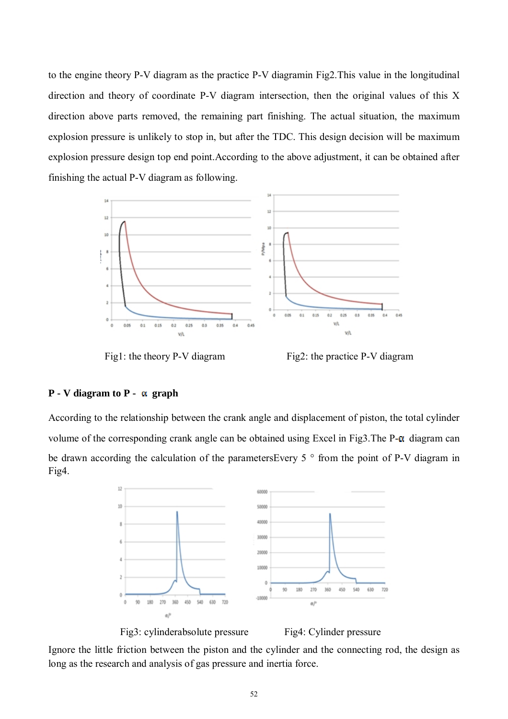to the engine theory P-V diagram as the practice P-V diagramin Fig2.This value in the longitudinal direction and theory of coordinate P-V diagram intersection, then the original values of this X direction above parts removed, the remaining part finishing. The actual situation, the maximum explosion pressure is unlikely to stop in, but after the TDC. This design decision will be maximum explosion pressure design top end point.According to the above adjustment, it can be obtained after finishing the actual P-V diagram as following.



Fig1: the theory P-V diagram Fig2: the practice P-V diagram

#### $P - V$  **diagram** to  $P - \alpha$  **graph**

According to the relationship between the crank angle and displacement of piston, the total cylinder volume of the corresponding crank angle can be obtained using Excel in Fig3. The  $P-\alpha$  diagram can be drawn according the calculation of the parametersEvery 5 ° from the point of P-V diagram in Fig4.



Fig3: cylinderabsolute pressure Fig4: Cylinder pressure

Ignore the little friction between the piston and the cylinder and the connecting rod, the design as long as the research and analysis of gas pressure and inertia force.